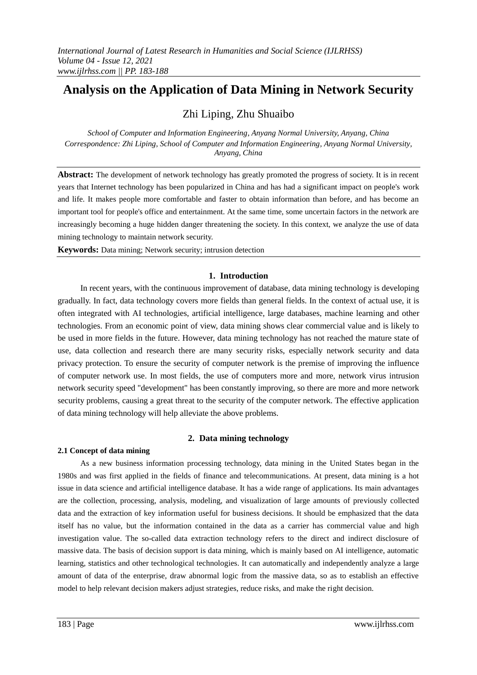# **Analysis on the Application of Data Mining in Network Security**

# Zhi Liping, Zhu Shuaibo

*School of Computer and Information Engineering, Anyang Normal University, Anyang, China Correspondence: Zhi Liping, School of Computer and Information Engineering, Anyang Normal University, Anyang, China*

**Abstract:** The development of network technology has greatly promoted the progress of society. It is in recent years that Internet technology has been popularized in China and has had a significant impact on people's work and life. It makes people more comfortable and faster to obtain information than before, and has become an important tool for people's office and entertainment. At the same time, some uncertain factors in the network are increasingly becoming a huge hidden danger threatening the society. In this context, we analyze the use of data mining technology to maintain network security.

**Keywords:** Data mining; Network security; intrusion detection

# **1. Introduction**

In recent years, with the continuous improvement of database, data mining technology is developing gradually. In fact, data technology covers more fields than general fields. In the context of actual use, it is often integrated with AI technologies, artificial intelligence, large databases, machine learning and other technologies. From an economic point of view, data mining shows clear commercial value and is likely to be used in more fields in the future. However, data mining technology has not reached the mature state of use, data collection and research there are many security risks, especially network security and data privacy protection. To ensure the security of computer network is the premise of improving the influence of computer network use. In most fields, the use of computers more and more, network virus intrusion network security speed "development" has been constantly improving, so there are more and more network security problems, causing a great threat to the security of the computer network. The effective application of data mining technology will help alleviate the above problems.

# **2. Data mining technology**

#### **2.1 Concept of data mining**

As a new business information processing technology, data mining in the United States began in the 1980s and was first applied in the fields of finance and telecommunications. At present, data mining is a hot issue in data science and artificial intelligence database. It has a wide range of applications. Its main advantages are the collection, processing, analysis, modeling, and visualization of large amounts of previously collected data and the extraction of key information useful for business decisions. It should be emphasized that the data itself has no value, but the information contained in the data as a carrier has commercial value and high investigation value. The so-called data extraction technology refers to the direct and indirect disclosure of massive data. The basis of decision support is data mining, which is mainly based on AI intelligence, automatic learning, statistics and other technological technologies. It can automatically and independently analyze a large amount of data of the enterprise, draw abnormal logic from the massive data, so as to establish an effective model to help relevant decision makers adjust strategies, reduce risks, and make the right decision.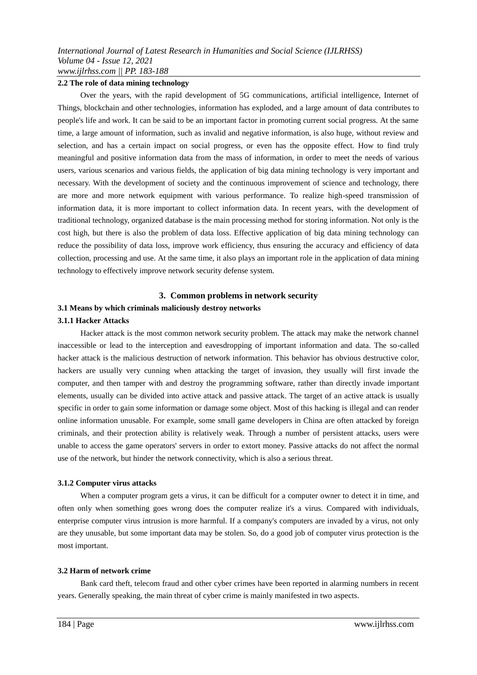#### **2.2 The role of data mining technology**

Over the years, with the rapid development of 5G communications, artificial intelligence, Internet of Things, blockchain and other technologies, information has exploded, and a large amount of data contributes to people's life and work. It can be said to be an important factor in promoting current social progress. At the same time, a large amount of information, such as invalid and negative information, is also huge, without review and selection, and has a certain impact on social progress, or even has the opposite effect. How to find truly meaningful and positive information data from the mass of information, in order to meet the needs of various users, various scenarios and various fields, the application of big data mining technology is very important and necessary. With the development of society and the continuous improvement of science and technology, there are more and more network equipment with various performance. To realize high-speed transmission of information data, it is more important to collect information data. In recent years, with the development of traditional technology, organized database is the main processing method for storing information. Not only is the cost high, but there is also the problem of data loss. Effective application of big data mining technology can reduce the possibility of data loss, improve work efficiency, thus ensuring the accuracy and efficiency of data collection, processing and use. At the same time, it also plays an important role in the application of data mining technology to effectively improve network security defense system.

## **3. Common problems in network security**

#### **3.1 Means by which criminals maliciously destroy networks**

#### **3.1.1 Hacker Attacks**

Hacker attack is the most common network security problem. The attack may make the network channel inaccessible or lead to the interception and eavesdropping of important information and data. The so-called hacker attack is the malicious destruction of network information. This behavior has obvious destructive color, hackers are usually very cunning when attacking the target of invasion, they usually will first invade the computer, and then tamper with and destroy the programming software, rather than directly invade important elements, usually can be divided into active attack and passive attack. The target of an active attack is usually specific in order to gain some information or damage some object. Most of this hacking is illegal and can render online information unusable. For example, some small game developers in China are often attacked by foreign criminals, and their protection ability is relatively weak. Through a number of persistent attacks, users were unable to access the game operators' servers in order to extort money. Passive attacks do not affect the normal use of the network, but hinder the network connectivity, which is also a serious threat.

#### **3.1.2 Computer virus attacks**

When a computer program gets a virus, it can be difficult for a computer owner to detect it in time, and often only when something goes wrong does the computer realize it's a virus. Compared with individuals, enterprise computer virus intrusion is more harmful. If a company's computers are invaded by a virus, not only are they unusable, but some important data may be stolen. So, do a good job of computer virus protection is the most important.

#### **3.2 Harm of network crime**

Bank card theft, telecom fraud and other cyber crimes have been reported in alarming numbers in recent years. Generally speaking, the main threat of cyber crime is mainly manifested in two aspects.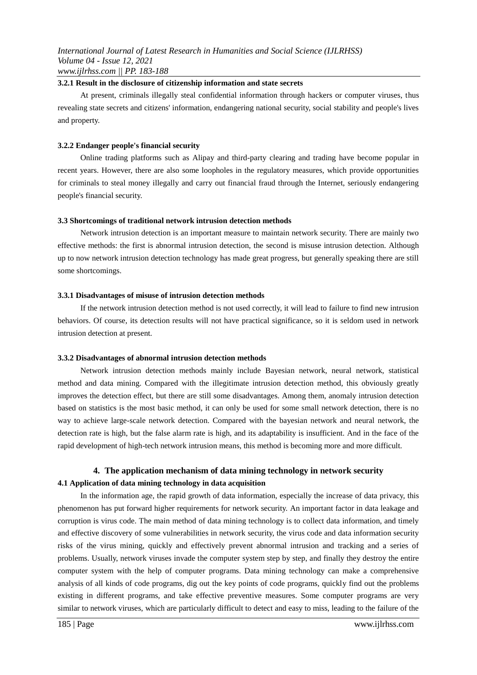#### **3.2.1 Result in the disclosure of citizenship information and state secrets**

At present, criminals illegally steal confidential information through hackers or computer viruses, thus revealing state secrets and citizens' information, endangering national security, social stability and people's lives and property.

#### **3.2.2 Endanger people's financial security**

Online trading platforms such as Alipay and third-party clearing and trading have become popular in recent years. However, there are also some loopholes in the regulatory measures, which provide opportunities for criminals to steal money illegally and carry out financial fraud through the Internet, seriously endangering people's financial security.

## **3.3 Shortcomings of traditional network intrusion detection methods**

Network intrusion detection is an important measure to maintain network security. There are mainly two effective methods: the first is abnormal intrusion detection, the second is misuse intrusion detection. Although up to now network intrusion detection technology has made great progress, but generally speaking there are still some shortcomings.

#### **3.3.1 Disadvantages of misuse of intrusion detection methods**

If the network intrusion detection method is not used correctly, it will lead to failure to find new intrusion behaviors. Of course, its detection results will not have practical significance, so it is seldom used in network intrusion detection at present.

#### **3.3.2 Disadvantages of abnormal intrusion detection methods**

Network intrusion detection methods mainly include Bayesian network, neural network, statistical method and data mining. Compared with the illegitimate intrusion detection method, this obviously greatly improves the detection effect, but there are still some disadvantages. Among them, anomaly intrusion detection based on statistics is the most basic method, it can only be used for some small network detection, there is no way to achieve large-scale network detection. Compared with the bayesian network and neural network, the detection rate is high, but the false alarm rate is high, and its adaptability is insufficient. And in the face of the rapid development of high-tech network intrusion means, this method is becoming more and more difficult.

# **4. The application mechanism of data mining technology in network security 4.1 Application of data mining technology in data acquisition**

In the information age, the rapid growth of data information, especially the increase of data privacy, this phenomenon has put forward higher requirements for network security. An important factor in data leakage and corruption is virus code. The main method of data mining technology is to collect data information, and timely and effective discovery of some vulnerabilities in network security, the virus code and data information security risks of the virus mining, quickly and effectively prevent abnormal intrusion and tracking and a series of problems. Usually, network viruses invade the computer system step by step, and finally they destroy the entire computer system with the help of computer programs. Data mining technology can make a comprehensive analysis of all kinds of code programs, dig out the key points of code programs, quickly find out the problems existing in different programs, and take effective preventive measures. Some computer programs are very similar to network viruses, which are particularly difficult to detect and easy to miss, leading to the failure of the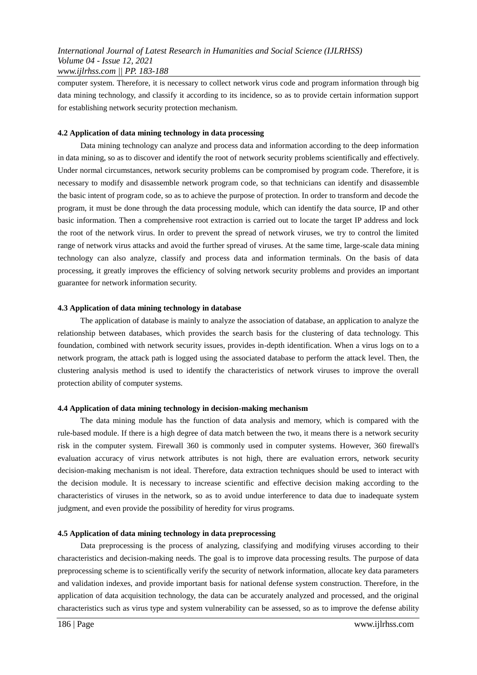computer system. Therefore, it is necessary to collect network virus code and program information through big data mining technology, and classify it according to its incidence, so as to provide certain information support for establishing network security protection mechanism.

### **4.2 Application of data mining technology in data processing**

Data mining technology can analyze and process data and information according to the deep information in data mining, so as to discover and identify the root of network security problems scientifically and effectively. Under normal circumstances, network security problems can be compromised by program code. Therefore, it is necessary to modify and disassemble network program code, so that technicians can identify and disassemble the basic intent of program code, so as to achieve the purpose of protection. In order to transform and decode the program, it must be done through the data processing module, which can identify the data source, IP and other basic information. Then a comprehensive root extraction is carried out to locate the target IP address and lock the root of the network virus. In order to prevent the spread of network viruses, we try to control the limited range of network virus attacks and avoid the further spread of viruses. At the same time, large-scale data mining technology can also analyze, classify and process data and information terminals. On the basis of data processing, it greatly improves the efficiency of solving network security problems and provides an important guarantee for network information security.

#### **4.3 Application of data mining technology in database**

The application of database is mainly to analyze the association of database, an application to analyze the relationship between databases, which provides the search basis for the clustering of data technology. This foundation, combined with network security issues, provides in-depth identification. When a virus logs on to a network program, the attack path is logged using the associated database to perform the attack level. Then, the clustering analysis method is used to identify the characteristics of network viruses to improve the overall protection ability of computer systems.

#### **4.4 Application of data mining technology in decision-making mechanism**

The data mining module has the function of data analysis and memory, which is compared with the rule-based module. If there is a high degree of data match between the two, it means there is a network security risk in the computer system. Firewall 360 is commonly used in computer systems. However, 360 firewall's evaluation accuracy of virus network attributes is not high, there are evaluation errors, network security decision-making mechanism is not ideal. Therefore, data extraction techniques should be used to interact with the decision module. It is necessary to increase scientific and effective decision making according to the characteristics of viruses in the network, so as to avoid undue interference to data due to inadequate system judgment, and even provide the possibility of heredity for virus programs.

#### **4.5 Application of data mining technology in data preprocessing**

Data preprocessing is the process of analyzing, classifying and modifying viruses according to their characteristics and decision-making needs. The goal is to improve data processing results. The purpose of data preprocessing scheme is to scientifically verify the security of network information, allocate key data parameters and validation indexes, and provide important basis for national defense system construction. Therefore, in the application of data acquisition technology, the data can be accurately analyzed and processed, and the original characteristics such as virus type and system vulnerability can be assessed, so as to improve the defense ability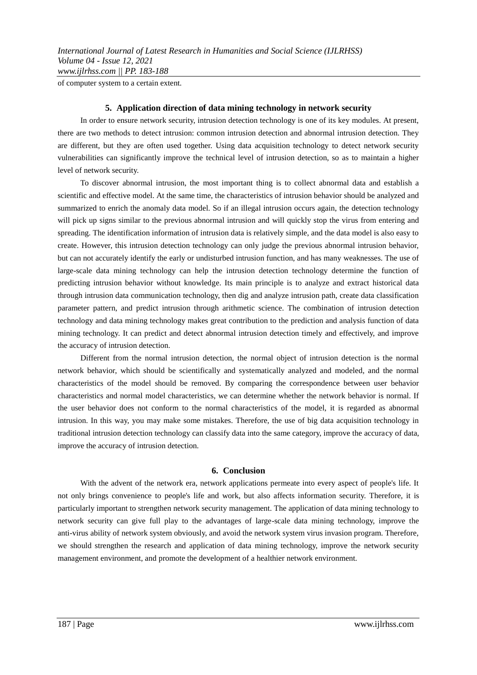of computer system to a certain extent.

#### **5. Application direction of data mining technology in network security**

In order to ensure network security, intrusion detection technology is one of its key modules. At present, there are two methods to detect intrusion: common intrusion detection and abnormal intrusion detection. They are different, but they are often used together. Using data acquisition technology to detect network security vulnerabilities can significantly improve the technical level of intrusion detection, so as to maintain a higher level of network security.

To discover abnormal intrusion, the most important thing is to collect abnormal data and establish a scientific and effective model. At the same time, the characteristics of intrusion behavior should be analyzed and summarized to enrich the anomaly data model. So if an illegal intrusion occurs again, the detection technology will pick up signs similar to the previous abnormal intrusion and will quickly stop the virus from entering and spreading. The identification information of intrusion data is relatively simple, and the data model is also easy to create. However, this intrusion detection technology can only judge the previous abnormal intrusion behavior, but can not accurately identify the early or undisturbed intrusion function, and has many weaknesses. The use of large-scale data mining technology can help the intrusion detection technology determine the function of predicting intrusion behavior without knowledge. Its main principle is to analyze and extract historical data through intrusion data communication technology, then dig and analyze intrusion path, create data classification parameter pattern, and predict intrusion through arithmetic science. The combination of intrusion detection technology and data mining technology makes great contribution to the prediction and analysis function of data mining technology. It can predict and detect abnormal intrusion detection timely and effectively, and improve the accuracy of intrusion detection.

Different from the normal intrusion detection, the normal object of intrusion detection is the normal network behavior, which should be scientifically and systematically analyzed and modeled, and the normal characteristics of the model should be removed. By comparing the correspondence between user behavior characteristics and normal model characteristics, we can determine whether the network behavior is normal. If the user behavior does not conform to the normal characteristics of the model, it is regarded as abnormal intrusion. In this way, you may make some mistakes. Therefore, the use of big data acquisition technology in traditional intrusion detection technology can classify data into the same category, improve the accuracy of data, improve the accuracy of intrusion detection.

#### **6. Conclusion**

With the advent of the network era, network applications permeate into every aspect of people's life. It not only brings convenience to people's life and work, but also affects information security. Therefore, it is particularly important to strengthen network security management. The application of data mining technology to network security can give full play to the advantages of large-scale data mining technology, improve the anti-virus ability of network system obviously, and avoid the network system virus invasion program. Therefore, we should strengthen the research and application of data mining technology, improve the network security management environment, and promote the development of a healthier network environment.